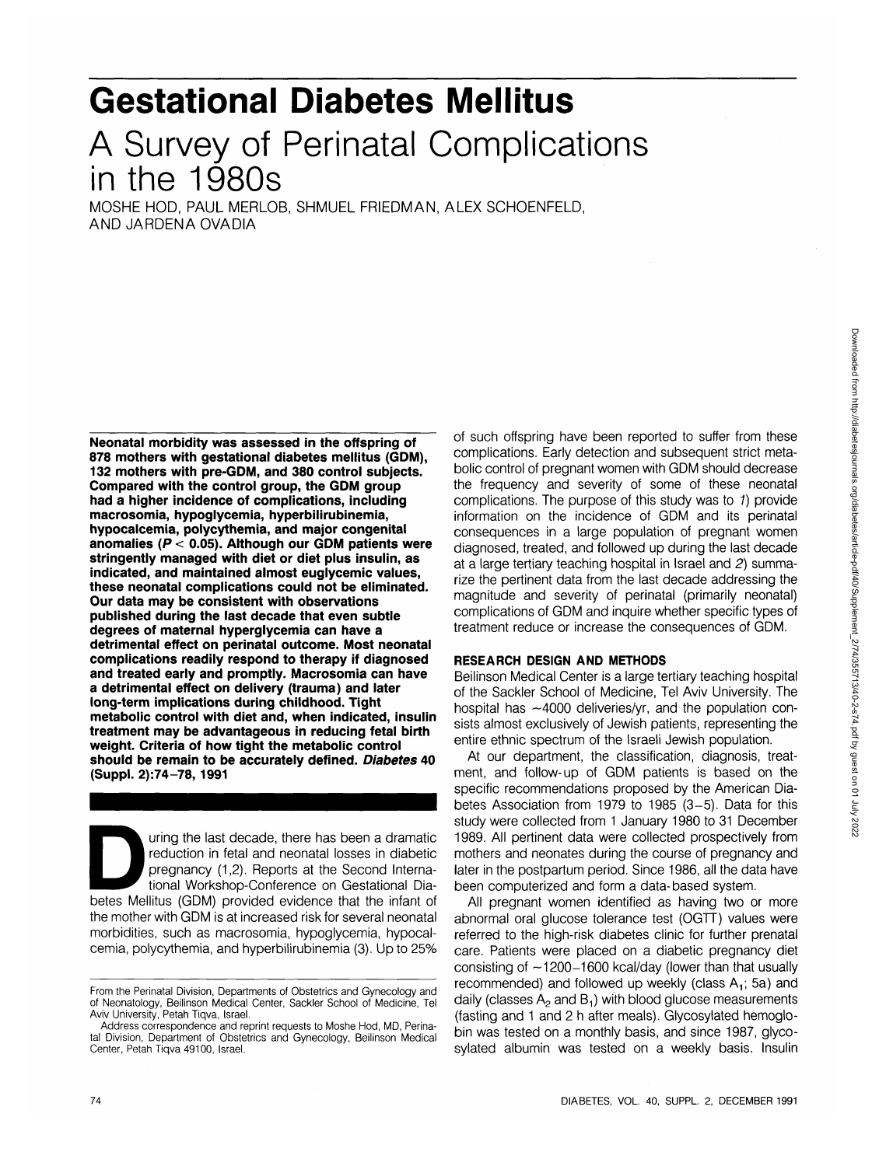# **Gestational Diabetes Mellitus** A Survey of Perinatal Complications in the 1980s

MOSHE HOD, PAUL MERLOB, SHMUEL FRIEDMAN, ALEX SCHOENFELD, AND JARDENAOVADIA

**Neonatal morbidity was assessed in the offspring of 878 mothers with gestational diabetes mellitus (GDM), 132 mothers with pre-GDM, and 380 control subjects. Compared with the control group, the GDM group had a higher incidence of complications, including macrosomia, hypoglycemia, hyperbilirubinemia, hypocalcemia, polycythemia, and major congenital anomalies (P < 0.05). Although our GDM patients were stringently managed with diet or diet plus insulin, as indicated, and maintained almost euglycemic values, these neonatal complications could not be eliminated. Our data may be consistent with observations published during the last decade that even subtle degrees of maternal hyperglycemia can have a detrimental effect on perinatal outcome. Most neonatal complications readily respond to therapy if diagnosed and treated early and promptly. Macrosomia can have a detrimental effect on delivery (trauma) and later long-term implications during childhood. Tight metabolic control with diet and, when indicated, insulin treatment may be advantageous in reducing fetal birth weight. Criteria of how tight the metabolic control should be remain to be accurately defined. Diabetes 40 (Suppl. 2):74-78, 1991**

uring the last decade, there has been a dramatic<br>
reduction in fetal and neonatal losses in diabetic<br>
pregnancy (1,2). Reports at the Second Interna-<br>
tional Workshop-Conference on Gestational Dia-<br>
betes Mellitus (GDM) pr reduction in fetal and neonatal losses in diabetic pregnancy (1,2). Reports at the Second International Workshop-Conference on Gestational Diathe mother with GDM is at increased risk for several neonatal morbidities, such as macrosomia, hypoglycemia, hypocalcemia, polycythemia, and hyperbilirubinemia (3). Up to 25%

of such offspring have been reported to suffer from these complications. Early detection and subsequent strict metabolic control of pregnant women with GDM should decrease the frequency and severity of some of these neonatal complications. The purpose of this study was to 1) provide information on the incidence of GDM and its perinatal consequences in a large population of pregnant women diagnosed, treated, and followed up during the last decade at a large tertiary teaching hospital in Israel and 2) summarize the pertinent data from the last decade addressing the magnitude and severity of perinatal (primarily neonatal) complications of GDM and inquire whether specific types of treatment reduce or increase the consequences of GDM.

## **RESEARCH DESIGN AND METHODS**

Beilinson Medical Center is a large tertiary teaching hospital of the Sackler School of Medicine, Tel Aviv University. The hospital has  $\sim$ 4000 deliveries/yr, and the population consists almost exclusively of Jewish patients, representing the entire ethnic spectrum of the Israeli Jewish population.

At our department, the classification, diagnosis, treatment, and follow-up of GDM patients is based on the specific recommendations proposed by the American Diabetes Association from 1979 to 1985 (3-5). Data for this study were collected from 1 January 1980 to 31 December 1989. All pertinent data were collected prospectively from mothers and neonates during the course of pregnancy and later in the postpartum period. Since 1986, all the data have been computerized and form a data-based system.

All pregnant women identified as having two or more abnormal oral glucose tolerance test (OGTT) values were referred to the high-risk diabetes clinic for further prenatal care. Patients were placed on a diabetic pregnancy diet consisting of  $-1200-1600$  kcal/day (lower than that usually recommended) and followed up weekly (class  $A_1$ ; 5a) and daily (classes  $A<sub>2</sub>$  and  $B<sub>1</sub>$ ) with blood glucose measurements (fasting and 1 and 2 h after meals). Glycosylated hemoglobin was tested on a monthly basis, and since 1987, glycosylated albumin was tested on a weekly basis. Insulin

From the Perinatal Division, Departments of Obstetrics and Gynecology and of Neonatology, Beilinson Medical Center, Sackler School of Medicine, Tel Aviv University, Petah Tiqva, Israel.

Address correspondence and reprint requests to Moshe Hod, MD, Perinatal Division, Department of Obstetrics and Gynecology, Beilinson Medical Center, Petah Tiqva 49100, Israel.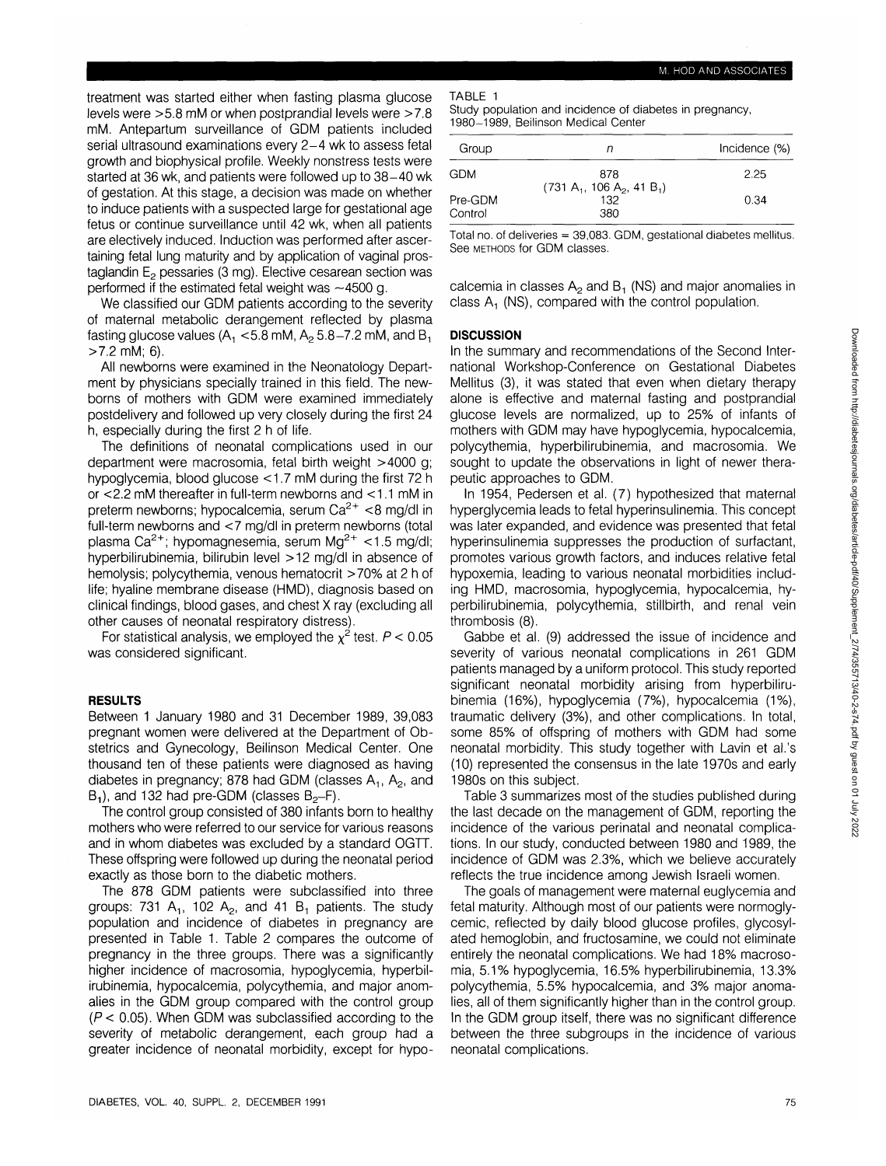treatment was started either when fasting plasma glucose levels were >5.8 mM or when postprandial levels were >7.8 mM. Antepartum surveillance of GDM patients included serial ultrasound examinations every 2-4 wk to assess fetal growth and biophysical profile. Weekly nonstress tests were started at 36 wk, and patients were followed up to 38-40 wk of gestation. At this stage, a decision was made on whether to induce patients with a suspected large for gestational age fetus or continue surveillance until 42 wk, when all patients are electively induced. Induction was performed after ascertaining fetal lung maturity and by application of vaginal prostaglandin  $E<sub>2</sub>$  pessaries (3 mg). Elective cesarean section was performed if the estimated fetal weight was  $\sim$ 4500 g.

We classified our GDM patients according to the severity of maternal metabolic derangement reflected by plasma fasting glucose values ( $A_1$  <5.8 mM,  $A_2$  5.8-7.2 mM, and  $B_1$ >7.2 mM; 6).

All newboms were examined in the Neonatology Department by physicians specially trained in this field. The newboms of mothers with GDM were examined immediately postdelivery and followed up very closely during the first 24 h, especially during the first 2 h of life.

The definitions of neonatal complications used in our department were macrosomia, fetal birth weight >4000 g; hypoglycemia, blood glucose <1.7 mM during the first 72 h or <2.2 mM thereafter in full-term newborns and <1.1 mM in preterm newborns; hypocalcemia, serum Ca<sup>2+</sup> <8 mg/dl in full-term newborns and <7 mg/dl in preterm newborns (total plasma Ca<sup>2+</sup>; hypomagnesemia, serum Mg<sup>2+</sup> <1.5 mg/dl; hyperbilirubinemia, bilirubin level >12 mg/dl in absence of hemolysis; polycythemia, venous hematocrit >70% at 2 h of life; hyaline membrane disease (HMD), diagnosis based on clinical findings, blood gases, and chest X ray (excluding all other causes of neonatal respiratory distress).

For statistical analysis, we employed the  $\chi^2$  test.  $P$  < 0.05 was considered significant.

## RESULTS

Between 1 January 1980 and 31 December 1989, 39,083 pregnant women were delivered at the Department of Obstetrics and Gynecology, Beilinson Medical Center. One thousand ten of these patients were diagnosed as having diabetes in pregnancy; 878 had GDM (classes  $A_1$ ,  $A_2$ , and  $B_1$ , and 132 had pre-GDM (classes  $B_2-F$ ).

The control group consisted of 380 infants born to healthy mothers who were referred to our service for various reasons and in whom diabetes was excluded by a standard OGTT. These offspring were followed up during the neonatal period exactly as those born to the diabetic mothers.

The 878 GDM patients were subclassified into three groups: 731 A<sub>1</sub>, 102 A<sub>2</sub>, and 41 B<sub>1</sub> patients. The study population and incidence of diabetes in pregnancy are presented in Table 1. Table 2 compares the outcome of pregnancy in the three groups. There was a significantly higher incidence of macrosomia, hypoglycemia, hyperbilirubinemia, hypocalcemia, polycythemia, and major anomalies in the GDM group compared with the control group  $(P < 0.05)$ . When GDM was subclassified according to the severity of metabolic derangement, each group had a greater incidence of neonatal morbidity, except for hypoTABLE 1

Study population and incidence of diabetes in pregnancy, 1980-1989, Beilinson Medical Center

| Group   | n                                   | Incidence (%) |
|---------|-------------------------------------|---------------|
| GDM     | 878                                 | 2.25          |
| Pre-GDM | $(731 A_1, 106 A_2, 41 B_1)$<br>132 | 0.34          |
| Control | 380                                 |               |

Total no. of deliveries  $= 39,083$ . GDM, gestational diabetes mellitus. See METHODS for GDM classes.

calcemia in classes  $A_2$  and  $B_1$  (NS) and major anomalies in class  $A_1$  (NS), compared with the control population.

## **DISCUSSION**

In the summary and recommendations of the Second International Workshop-Conference on Gestational Diabetes Mellitus (3), it was stated that even when dietary therapy alone is effective and maternal fasting and postprandial glucose levels are normalized, up to 25% of infants of mothers with GDM may have hypoglycemia, hypocalcemia, polycythemia, hyperbilirubinemia, and macrosomia. We sought to update the observations in light of newer therapeutic approaches to GDM.

In 1954, Pedersen et al. (7) hypothesized that maternal hyperglycemia leads to fetal hyperinsulinemia. This concept was later expanded, and evidence was presented that fetal hyperinsulinemia suppresses the production of surfactant, promotes various growth factors, and induces relative fetal hypoxemia, leading to various neonatal morbidities including HMD, macrosomia, hypoglycemia, hypocalcemia, hyperbilirubinemia, polycythemia, stillbirth, and renal vein thrombosis (8).

Gabbe et al. (9) addressed the issue of incidence and severity of various neonatal complications in 261 GDM patients managed by a uniform protocol. This study reported significant neonatal morbidity arising from hyperbilirubinemia (16%), hypoglycemia (7%), hypocalcemia (1%), traumatic delivery (3%), and other complications. In total, some 85% of offspring of mothers with GDM had some neonatal morbidity. This study together with Lavin et al.'s (10) represented the consensus in the late 1970s and early 1980s on this subject.

Table 3 summarizes most of the studies published during the last decade on the management of GDM, reporting the incidence of the various perinatal and neonatal complications. In our study, conducted between 1980 and 1989, the incidence of GDM was 2.3%, which we believe accurately reflects the true incidence among Jewish Israeli women.

The goals of management were maternal euglycemia and fetal maturity. Although most of our patients were normoglycemic, reflected by daily blood glucose profiles, glycosylated hemoglobin, and fructosamine, we could not eliminate entirely the neonatal complications. We had 18% macrosomia, 5.1% hypoglycemia, 16.5% hyperbilirubinemia, 13.3% polycythemia, 5.5% hypocalcemia, and 3% major anomalies, all of them significantly higher than in the control group. In the GDM group itself, there was no significant difference between the three subgroups in the incidence of various neonatal complications.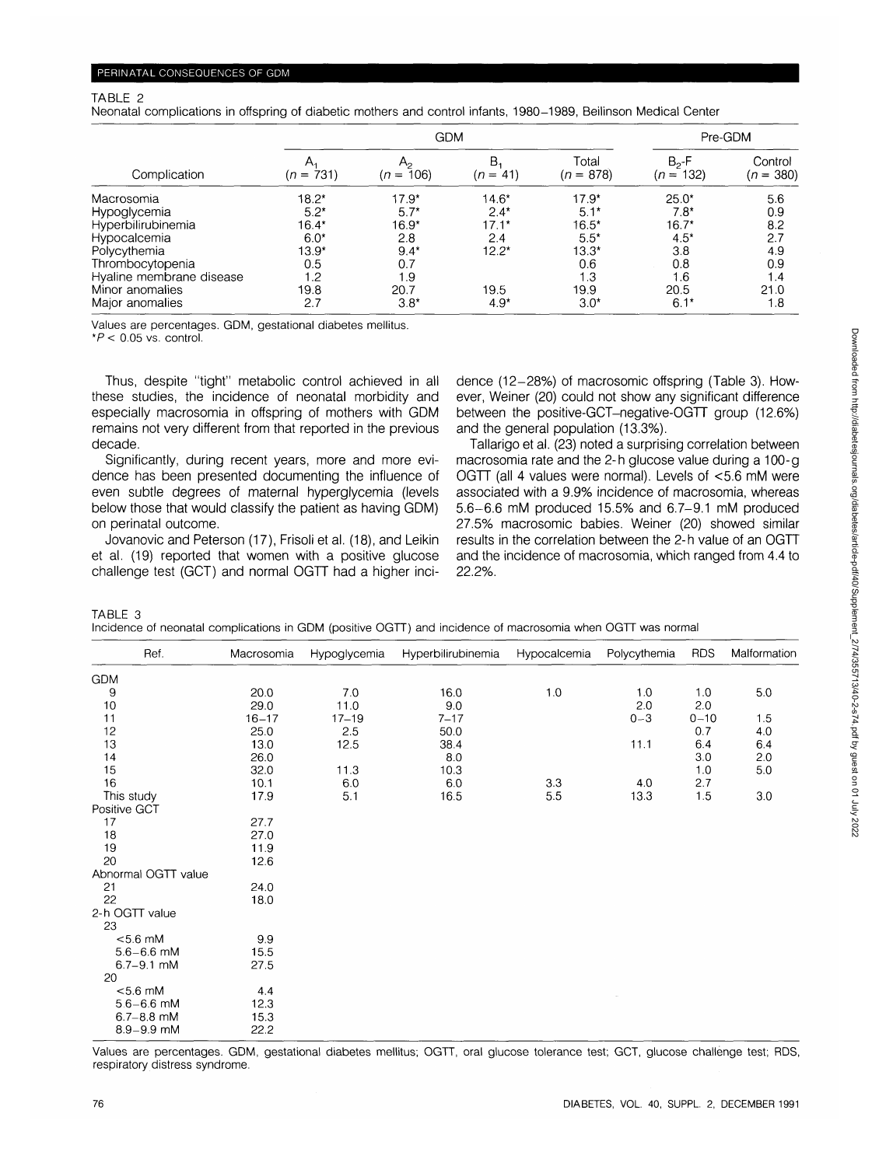#### TABLE 2

Neonatal complications in offspring of diabetic mothers and control infants, 1980-1989, Beilinson Medical Center

|                          | <b>GDM</b>        |                           |                  |                      | Pre-GDM                    |                        |
|--------------------------|-------------------|---------------------------|------------------|----------------------|----------------------------|------------------------|
| Complication             | Α,<br>$(n = 731)$ | $A_{2}$<br>106)<br>$(n =$ | В.<br>$(n = 41)$ | Total<br>$(n = 878)$ | $B_2$ -F<br>132)<br>$(n =$ | Control<br>$(n = 380)$ |
| Macrosomia               | $18.2*$           | $17.9*$                   | $14.6*$          | $17.9*$              | $25.0*$                    | 5.6                    |
| Hypoglycemia             | $5.2*$            | $5.7*$                    | $2.4*$           | $5.1*$               | $7.8*$                     | 0.9                    |
| Hyperbilirubinemia       | $16.4*$           | $16.9*$                   | $17.1*$          | $16.5*$              | $16.7*$                    | 8.2                    |
| Hypocalcemia             | $6.0*$            | 2.8                       | 2.4              | $5.5*$               | $4.5*$                     | 2.7                    |
| Polycythemia             | $13.9*$           | $9.4*$                    | $12.2*$          | $13.3*$              | 3.8                        | 4.9                    |
| Thrombocytopenia         | 0.5               | 0.7                       |                  | 0.6                  | 0.8                        | 0.9                    |
| Hyaline membrane disease | 1.2               | 1.9                       |                  | 1.3                  | 1.6                        | 1.4                    |
| Minor anomalies          | 19.8              | 20.7                      | 19.5             | 19.9                 | 20.5                       | 21.0                   |
| Major anomalies          | 2.7               | $3.8*$                    | $4.9*$           | $3.0*$               | $6.1*$                     | 1.8                    |

Values are percentages. GDM, gestational diabetes mellitus.

 $*P < 0.05$  vs. control.

Thus, despite "tight" metabolic control achieved in all these studies, the incidence of neonatal morbidity and especially macrosomia in offspring of mothers with GDM remains not very different from that reported in the previous decade.

Significantly, during recent years, more and more evidence has been presented documenting the influence of even subtle degrees of maternal hyperglycemia (levels below those that would classify the patient as having GDM) on perinatal outcome.

Jovanovic and Peterson (17), Frisoli et al. (18), and Leikin et al. (19) reported that women with a positive glucose challenge test (GCT) and normal OGTT had a higher incidence (12-28%) of macrosomic offspring (Table 3). However, Weiner (20) could not show any significant difference between the positive-GCT-negative-OGTT group (12.6%) and the general population (13.3%).

Tallarigo et al. (23) noted a surprising correlation between macrosomia rate and the 2-h glucose value during a 100-g OGTT (all 4 values were normal). Levels of <5.6 mM were associated with a 9.9% incidence of macrosomia, whereas 5.6-6.6 mM produced 15.5% and 6.7-9.1 mM produced 27.5% macrosomic babies. Weiner (20) showed similar results in the correlation between the 2-h value of an OGTT and the incidence of macrosomia, which ranged from 4.4 to 22.2%.

TABLE 3

|  | Incidence of neonatal complications in GDM (positive OGTT) and incidence of macrosomia when OGTT was normal |
|--|-------------------------------------------------------------------------------------------------------------|
|--|-------------------------------------------------------------------------------------------------------------|

| Ref.                | Macrosomia | Hypoglycemia | Hyperbilirubinemia | Hypocalcemia | Polycythemia | <b>RDS</b> | Malformation |
|---------------------|------------|--------------|--------------------|--------------|--------------|------------|--------------|
| <b>GDM</b>          |            |              |                    |              |              |            |              |
| 9                   | 20.0       | 7.0          | 16.0               | 1.0          | 1.0          | 1.0        | 5.0          |
| 10                  | 29.0       | 11.0         | 9.0                |              | 2.0          | 2.0        |              |
| 11                  | $16 - 17$  | $17 - 19$    | $7 - 17$           |              | $0 - 3$      | $0 - 10$   | 1.5          |
| 12                  | 25.0       | 2.5          | 50.0               |              |              | 0.7        | 4.0          |
| 13                  | 13.0       | 12.5         | 38.4               |              | 11.1         | 6.4        | 6.4          |
| 14                  | 26.0       |              | 8.0                |              |              | 3.0        | 2.0          |
| 15                  | 32.0       | 11.3         | 10.3               |              |              | 1.0        | 5.0          |
| 16                  | 10.1       | 6.0          | 6.0                | 33           | 4.0          | 2.7        |              |
| This study          | 17.9       | 5.1          | 16.5               | 5.5          | 13.3         | 1.5        | 3.0          |
| Positive GCT        |            |              |                    |              |              |            |              |
| 17                  | 27.7       |              |                    |              |              |            |              |
| 18                  | 27.0       |              |                    |              |              |            |              |
| 19                  | 11.9       |              |                    |              |              |            |              |
| 20                  | 12.6       |              |                    |              |              |            |              |
| Abnormal OGTT value |            |              |                    |              |              |            |              |
| 21                  | 24.0       |              |                    |              |              |            |              |
| 22                  | 18.0       |              |                    |              |              |            |              |
| 2-h OGTT value      |            |              |                    |              |              |            |              |
| 23                  |            |              |                    |              |              |            |              |
| $< 5.6$ mM          | 9.9        |              |                    |              |              |            |              |
| $5.6 - 6.6$ mM      | 15.5       |              |                    |              |              |            |              |
| $6.7 - 9.1$ mM      | 27.5       |              |                    |              |              |            |              |
| 20                  |            |              |                    |              |              |            |              |
| $< 5.6$ mM          | 4.4        |              |                    |              |              |            |              |
| $5.6 - 6.6$ mM      | 12.3       |              |                    |              |              |            |              |
| $6.7 - 8.8$ mM      | 15.3       |              |                    |              |              |            |              |
| $8.9 - 9.9$ mM      | 22.2       |              |                    |              |              |            |              |

Values are percentages. GDM, gestational diabetes mellitus; OGTT, oral glucose tolerance test; GCT, glucose challenge test; RDS, respiratory distress syndrome.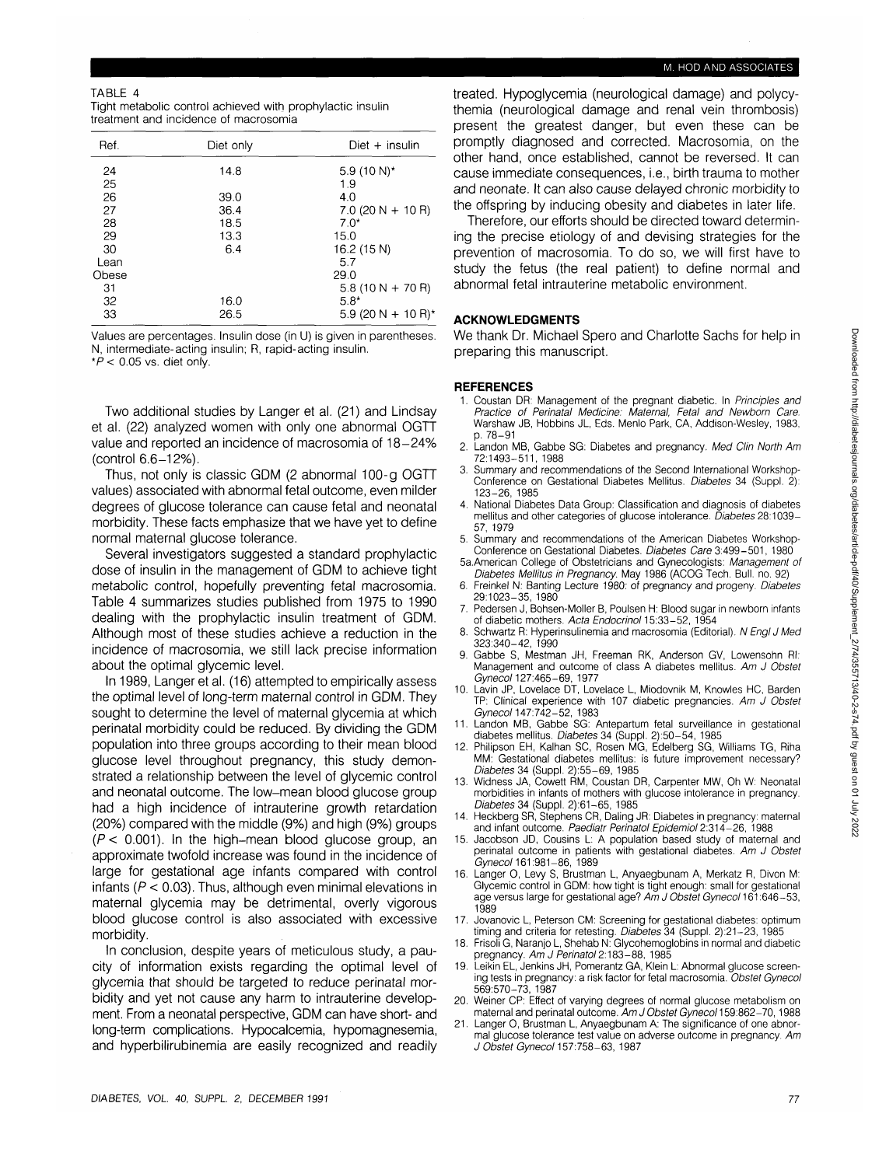## TABLE 4

| Tight metabolic control achieved with prophylactic insulin |  |
|------------------------------------------------------------|--|
| treatment and incidence of macrosomia                      |  |

| Ref.  | Diet only | Diet $+$ insulin               |  |  |
|-------|-----------|--------------------------------|--|--|
| 24    | 14.8      | 5.9 $(10 N)^*$                 |  |  |
| 25    |           | 1.9                            |  |  |
| 26    | 39.0      | 4.0                            |  |  |
| 27    | 36.4      | $7.0$ (20 N + 10 R)            |  |  |
| 28    | 18.5      | $7.0*$                         |  |  |
| 29    | 13.3      | 15.0                           |  |  |
| 30    | 6.4       | 16.2 (15 N)                    |  |  |
| Lean  |           | 5.7                            |  |  |
| Obese |           | 29.0                           |  |  |
| 31    |           | $5.8(10 N + 70 R)$             |  |  |
| 32    | 16.0      | $5.8*$                         |  |  |
| 33    | 26.5      | 5.9 (20 N + 10 R) <sup>*</sup> |  |  |

Values are percentages. Insulin dose (in U) is given in parentheses. N, intermediate-acting insulin; R, rapid-acting insulin.  $*P$  < 0.05 vs. diet only.

Two additional studies by Langer et al. (21) and Lindsay et al. (22) analyzed women with only one abnormal OGTT value and reported an incidence of macrosomia of 18-24% (control 6.6-12%).

Thus, not only is classic GDM (2 abnormal 100-g OGTT values) associated with abnormal fetal outcome, even milder degrees of glucose tolerance can cause fetal and neonatal morbidity. These facts emphasize that we have yet to define normal maternal glucose tolerance.

Several investigators suggested a standard prophylactic dose of insulin in the management of GDM to achieve tight metabolic control, hopefully preventing fetal macrosomia. Table 4 summarizes studies published from 1975 to 1990 dealing with the prophylactic insulin treatment of GDM. Although most of these studies achieve a reduction in the incidence of macrosomia, we still lack precise information about the optimal glycemic level.

In 1989, Langer et al. (16) attempted to empirically assess the optimal level of long-term maternal control in GDM. They sought to determine the level of maternal glycemia at which perinatal morbidity could be reduced. By dividing the GDM population into three groups according to their mean blood glucose level throughout pregnancy, this study demonstrated a relationship between the level of glycemic control and neonatal outcome. The low-mean blood glucose group had a high incidence of intrauterine growth retardation (20%) compared with the middle (9%) and high (9%) groups  $(P < 0.001)$ . In the high-mean blood glucose group, an approximate twofold increase was found in the incidence of large for gestational age infants compared with control infants ( $P < 0.03$ ). Thus, although even minimal elevations in maternal glycemia may be detrimental, overly vigorous blood glucose control is also associated with excessive morbidity.

In conclusion, despite years of meticulous study, a paucity of information exists regarding the optimal level of glycemia that should be targeted to reduce perinatal morbidity and yet not cause any harm to intrauterine development. From a neonatal perspective, GDM can have short- and long-term complications. Hypocalcemia, hypomagnesemia, and hyperbilirubinemia are easily recognized and readily

## M. HOD AND ASSOCIATES

treated. Hypoglycemia (neurological damage) and polycythemia (neurological damage and renal vein thrombosis) present the greatest danger, but even these can be promptly diagnosed and corrected. Macrosomia, on the other hand, once established, cannot be reversed. It can cause immediate consequences, i.e., birth trauma to mother and neonate. It can also cause delayed chronic morbidity to the offspring by inducing obesity and diabetes in later life.

Therefore, our efforts should be directed toward determining the precise etiology of and devising strategies for the prevention of macrosomia. To do so, we will first have to study the fetus (the real patient) to define normal and abnormal fetal intrauterine metabolic environment.

## **ACKNOWLEDGMENTS**

We thank Dr. Michael Spero and Charlotte Sachs for help in preparing this manuscript.

## **REFERENCES**

- 1. Coustan DR: Management of the pregnant diabetic. In Principles and Practice of Perinatal Medicine: Maternal, Fetal and Newborn Care. Warshaw JB, Hobbins JL, Eds. Menlo Park, CA, Addison-Wesley, 1983, p. 78-91
- 2. Landon MB, Gabbe SG: Diabetes and pregnancy. Med Clin North Am 72:1493-511, 1988
- 3. Summary and recommendations of the Second International Workshop-Conference on Gestational Diabetes Mellitus. Diabetes 34 (Suppl. 2): 123-26, 1985
- 4. National Diabetes Data Group: Classification and diagnosis of diabetes mellitus and other categories of glucose intolerance. Diabetes 28:1039-57, 1979
- 5. Summary and recommendations of the American Diabetes Workshop-Conference on Gestational Diabetes. Diabetes Care 3:499-501, 1980
- 5a.American College of Obstetricians and Gynecologists: Management of Diabetes Mellitus in Pregnancy. May 1986 (ACOG Tech. Bull. no. 92)
- 6. Freinkel N: Banting Lecture 1980: of pregnancy and progeny. Diabetes 29:1023-35, 1980
- 7. Pedersen J, Bohsen-Moller B, Poulsen H: Blood sugar in newborn infants of diabetic mothers. Acta Endocrinol 15:33-52, 1954
- 8. Schwartz R: Hyperinsulinemia and macrosomia (Editorial). N Engl J Med 323:340-42, 1990
- 9. Gabbe S, Mestman JH, Freeman RK, Anderson GV, Lowensohn Rl: Management and outcome of class A diabetes mellitus. Am J Obstet Gyneco/127:465-69, 1977
- 10. Lavin JP, Lovelace DT, Lovelace L, Miodovnik M, Knowles HC, Barden TP: Clinical experience with 107 diabetic pregnancies. Am J Obstet Gyneco/147:742-52, 1983
- Landon MB, Gabbe SG: Antepartum fetal surveillance in gestational
- diabetes mellitus. Diabetes 34 (Suppl. 2):50-54, 1985 12. Philipson EH, Kalhan SC, Rosen MG, Edelberg SG, Williams TG, Riha MM: Gestational diabetes mellitus: is future improvement necessary? Diabetes 34 (Suppl. 2):55-69, 1985
- 13. Widness JA, Cowett RM, Coustan DR, Carpenter MW, Oh W: Neonatal morbidities in infants of mothers with glucose intolerance in pregnancy. Diabetes 34 (Suppl. 2):61-65, 1985
- Heckberg SR, Stephens CR, Daling JR: Diabetes in pregnancy: maternal and infant outcome. Paediatr Perinatol Epidemiol 2:314-26, 1988
- 15. Jacobson JD, Cousins L: A population based study of maternal and perinatal outcome in patients with gestational diabetes. Am J Obstet Gyneco/161:981-86, 1989
- 16. Langer O, Levy S, Brustman L, Anyaegbunam A, Merkatz R, Divon M: Glycemic control in GDM: how tight is tight enough: small for gestational<br>age versus large for gestational age? *Am J Obstet Gynecol* 161:646–53, 1989
- 17. Jovanovic L, Peterson CM: Screening for gestational diabetes: optimum timing and criteria for retesting. Diabetes 34 (Suppl. 2):21-23, 1985
- 18. Frisoli G, Naranjo L, Shehab N: Glycohemoglobins in normal and diabetic pregnancy. *Am J Perinatol* 2:183–88, 1985
- 19. Leikin EL, Jenkins JH, Pomerantz GA, Klein L: Abnormal glucose screening tests in pregnancy: a risk factor for fetal macrosomia. Obstet Gynecol 569:570-73, 1987
- 20. Weiner CP: Effect of varying degrees of normal glucose metabolism on maternal and perinatal outcome. Am J Obstet Gynecol 159:862-70, 1988
- 21. Langer O, Brustman L, Anyaegbunam A: The significance of one abnormal glucose tolerance test value on adverse outcome in pregnancy. Am J Obstet Gynecol 157:758-63, 1987